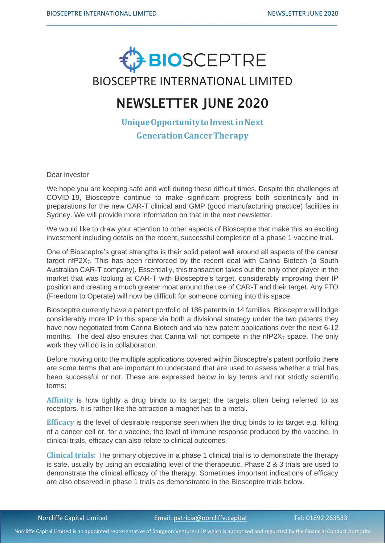

\_\_\_\_\_\_\_\_\_\_\_\_\_\_\_\_\_\_\_\_\_\_\_\_\_\_\_\_\_\_\_\_\_\_\_\_\_\_\_\_\_\_\_\_\_\_\_\_\_\_\_\_\_\_\_\_\_\_\_\_\_\_\_\_\_\_\_\_\_\_\_\_\_\_\_\_\_\_\_\_\_\_

# NEWSLETTER JUNE 2020

**Unique Opportunity to Invest in Next GenerationCancerTherapy**

Dear investor

We hope you are keeping safe and well during these difficult times. Despite the challenges of COVID-19, Biosceptre continue to make significant progress both scientifically and in preparations for the new CAR-T clinical and GMP (good manufacturing practice) facilities in Sydney. We will provide more information on that in the next newsletter.

We would like to draw your attention to other aspects of Biosceptre that make this an exciting investment including details on the recent, successful completion of a phase 1 vaccine trial.

One of Biosceptre's great strengths is their solid patent wall around all aspects of the cancer target nfP2 $X_7$ . This has been reinforced by the recent deal with Carina Biotech (a South Australian CAR-T company). Essentially, this transaction takes out the only other player in the market that was looking at CAR-T with Biosceptre's target, considerably improving their IP position and creating a much greater moat around the use of CAR-T and their target. Any FTO (Freedom to Operate) will now be difficult for someone coming into this space.

Biosceptre currently have a patent portfolio of 186 patents in 14 families. Biosceptre will lodge considerably more IP in this space via both a divisional strategy under the two patents they have now negotiated from Carina Biotech and via new patent applications over the next 6-12 months. The deal also ensures that Carina will not compete in the  $nfp2X<sub>7</sub>$  space. The only work they will do is in collaboration.

Before moving onto the multiple applications covered within Biosceptre's patent portfolio there are some terms that are important to understand that are used to assess whether a trial has been successful or not. These are expressed below in lay terms and not strictly scientific terms:

**Affinity** is how tightly a drug binds to its target; the targets often being referred to as receptors. It is rather like the attraction a magnet has to a metal.

**Efficacy** is the level of desirable response seen when the drug binds to its target e.g. killing of a cancer cell or, for a vaccine, the level of immune response produced by the vaccine. In clinical trials, efficacy can also relate to clinical outcomes.

**Clinical trials**: The primary objective in a phase 1 clinical trial is to demonstrate the therapy is safe, usually by using an escalating level of the therapeutic. Phase 2 & 3 trials are used to demonstrate the clinical efficacy of the therapy. Sometimes important indications of efficacy are also observed in phase 1 trials as demonstrated in the Biosceptre trials below.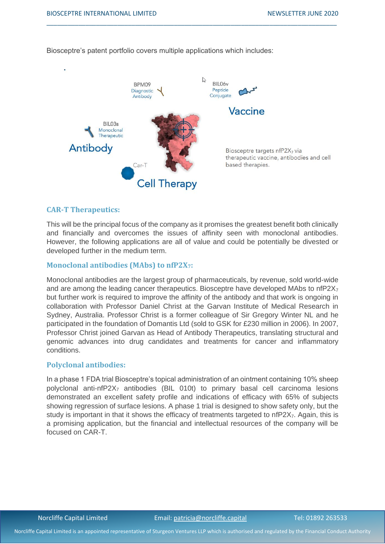

\_\_\_\_\_\_\_\_\_\_\_\_\_\_\_\_\_\_\_\_\_\_\_\_\_\_\_\_\_\_\_\_\_\_\_\_\_\_\_\_\_\_\_\_\_\_\_\_\_\_\_\_\_\_\_\_\_\_\_\_\_\_\_\_\_\_\_\_\_\_\_\_\_\_\_\_\_\_\_\_\_\_

Biosceptre's patent portfolio covers multiple applications which includes:

### **CAR-T Therapeutics:**

This will be the principal focus of the company as it promises the greatest benefit both clinically and financially and overcomes the issues of affinity seen with monoclonal antibodies. However, the following applications are all of value and could be potentially be divested or developed further in the medium term.

### **Monoclonal antibodies (MAbs) to nfP2X7:**

Monoclonal antibodies are the largest group of pharmaceuticals, by revenue, sold world-wide and are among the leading cancer therapeutics. Biosceptre have developed MAbs to  $n\frac{FZ}{Z7}$ but further work is required to improve the affinity of the antibody and that work is ongoing in collaboration with Professor Daniel Christ at the Garvan Institute of Medical Research in Sydney, Australia. Professor Christ is a former colleague of Sir Gregory Winter NL and he participated in the foundation of Domantis Ltd (sold to GSK for £230 million in 2006). In 2007, Professor Christ joined Garvan as Head of Antibody Therapeutics, translating structural and genomic advances into drug candidates and treatments for cancer and inflammatory conditions.

### **Polyclonal antibodies:**

In a phase 1 FDA trial Biosceptre's topical administration of an ointment containing 10% sheep polyclonal anti-nfP2X<sub>7</sub> antibodies (BIL 010t) to primary basal cell carcinoma lesions demonstrated an excellent safety profile and indications of efficacy with 65% of subjects showing regression of surface lesions. A phase 1 trial is designed to show safety only, but the study is important in that it shows the efficacy of treatments targeted to nfP2X<sub>7</sub>. Again, this is a promising application, but the financial and intellectual resources of the company will be focused on CAR-T.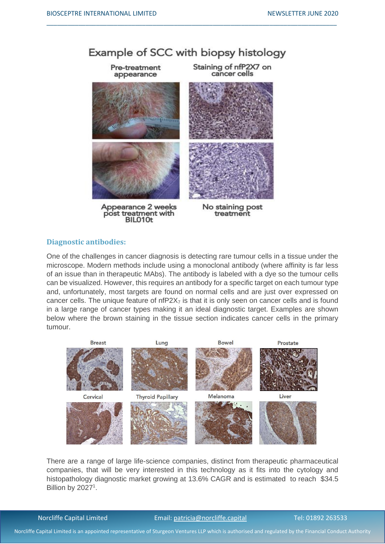## Example of SCC with biopsy histology

\_\_\_\_\_\_\_\_\_\_\_\_\_\_\_\_\_\_\_\_\_\_\_\_\_\_\_\_\_\_\_\_\_\_\_\_\_\_\_\_\_\_\_\_\_\_\_\_\_\_\_\_\_\_\_\_\_\_\_\_\_\_\_\_\_\_\_\_\_\_\_\_\_\_\_\_\_\_\_\_\_\_



post treatment with BIL010t

treatment

### **Diagnostic antibodies:**

One of the challenges in cancer diagnosis is detecting rare tumour cells in a tissue under the microscope. Modern methods include using a monoclonal antibody (where affinity is far less of an issue than in therapeutic MAbs). The antibody is labeled with a dye so the tumour cells can be visualized. However, this requires an antibody for a specific target on each tumour type and, unfortunately, most targets are found on normal cells and are just over expressed on cancer cells. The unique feature of  $nfp2X<sub>7</sub>$  is that it is only seen on cancer cells and is found in a large range of cancer types making it an ideal diagnostic target. Examples are shown below where the brown staining in the tissue section indicates cancer cells in the primary tumour.



There are a range of large life-science companies, distinct from therapeutic pharmaceutical companies, that will be very interested in this technology as it fits into the cytology and histopathology diagnostic market growing at 13.6% CAGR and is estimated to reach \$34.5 Billion by  $2027<sup>1</sup>$ .

#### Norcliffe Capital Limited **Email:** patricia@norcliffe.capital Tel: 01892 263533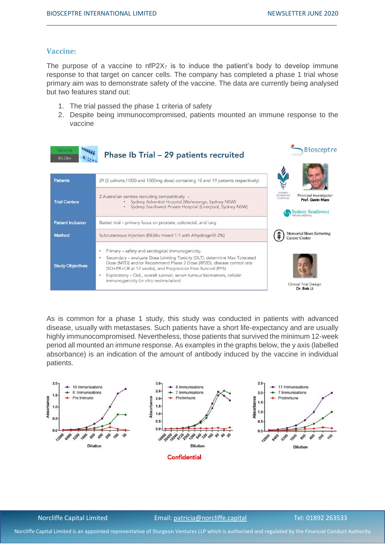### **Vaccine:**

The purpose of a vaccine to  $nP2X<sub>7</sub>$  is to induce the patient's body to develop immune response to that target on cancer cells. The company has completed a phase 1 trial whose primary aim was to demonstrate safety of the vaccine. The data are currently being analysed but two features stand out:

\_\_\_\_\_\_\_\_\_\_\_\_\_\_\_\_\_\_\_\_\_\_\_\_\_\_\_\_\_\_\_\_\_\_\_\_\_\_\_\_\_\_\_\_\_\_\_\_\_\_\_\_\_\_\_\_\_\_\_\_\_\_\_\_\_\_\_\_\_\_\_\_\_\_\_\_\_\_\_\_\_\_

- 1. The trial passed the phase 1 criteria of safety
- 2. Despite being immunocompromised, patients mounted an immune response to the vaccine

| Vaccine<br>BIL06 <sub>v</sub> | Phase Ib Trial - 29 patients recruited                                                                                                                                                                                                                                                                                                                                                                                | <b>Biosceptre</b>                                                                                               |
|-------------------------------|-----------------------------------------------------------------------------------------------------------------------------------------------------------------------------------------------------------------------------------------------------------------------------------------------------------------------------------------------------------------------------------------------------------------------|-----------------------------------------------------------------------------------------------------------------|
| <b>Patients</b>               | 29 (2 cohorts (1000 and 1500mg dose) containing 10 and 19 patients respectively)                                                                                                                                                                                                                                                                                                                                      |                                                                                                                 |
| <b>Trial Centers</b>          | 2 Australian centres recruiting competitively -<br>Sydney Adventist Hospital (Wahroonga, Sydney NSW)<br>Sydney Southwest Private Hospital (Liverpool, Sydney NSW)<br>$\bullet$                                                                                                                                                                                                                                        | SYDNEY<br>Principal Investigator<br><b>ADVENTIST</b><br><b>HOSPITAL</b><br>Prof. Gavin Marx<br>Sydney Southwest |
| <b>Patient Inclusion</b>      | Basket trial – primary focus on prostate, colorectal, and lung                                                                                                                                                                                                                                                                                                                                                        |                                                                                                                 |
| Method                        | Subcutaneous Injection (BIL06v mixed 1:1 with Alhydrogel® 2%)                                                                                                                                                                                                                                                                                                                                                         | Memorial Sloan Kettering<br><b>Cancer Center</b>                                                                |
| <b>Study Objectives</b>       | Primary - safety and serological immunogenicity.<br>$\bullet$<br>Secondary - evaluate Dose Limiting Toxicity (DLT), determine Max Tolerated<br>Dose (MTD) and/or Recommend Phase 2 Dose (RP2D), disease control rate<br>(SD+PR+CR at 12 weeks), and Progression Free Survival (PFS)<br>Exploratory - QoL, overall survival, serum tumour biomarkers, cellular<br>$\bullet$<br>immunogenicity (in vitro restimulation) | <b>Clinical Trial Design</b><br>Dr. Bob Li                                                                      |

As is common for a phase 1 study, this study was conducted in patients with advanced disease, usually with metastases. Such patients have a short life-expectancy and are usually highly immunocompromised. Nevertheless, those patients that survived the minimum 12-week period all mounted an immune response. As examples in the graphs below, the y axis (labelled absorbance) is an indication of the amount of antibody induced by the vaccine in individual patients.